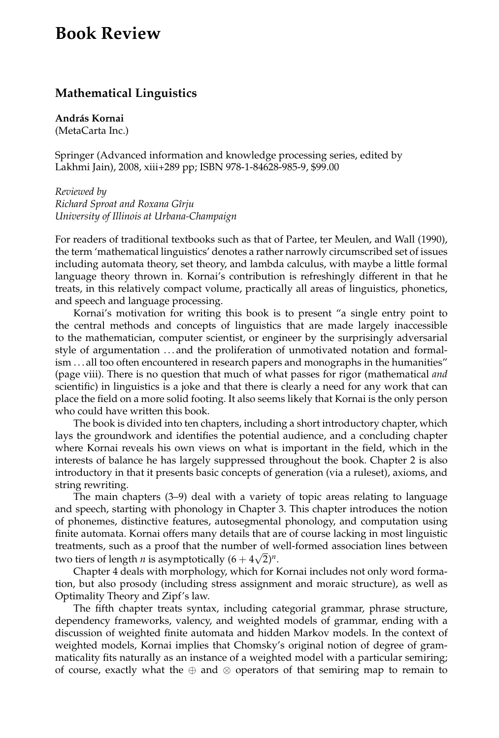## **Book Review**

## **Mathematical Linguistics**

**András Kornai** (MetaCarta Inc.)

Springer (Advanced information and knowledge processing series, edited by Lakhmi Jain), 2008, xiii+289 pp; ISBN 978-1-84628-985-9, \$99.00

*Reviewed by Richard Sproat and Roxana Gˆırju University of Illinois at Urbana-Champaign*

For readers of traditional textbooks such as that of Partee, ter Meulen, and Wall (1990), the term 'mathematical linguistics' denotes a rather narrowly circumscribed set of issues including automata theory, set theory, and lambda calculus, with maybe a little formal language theory thrown in. Kornai's contribution is refreshingly different in that he treats, in this relatively compact volume, practically all areas of linguistics, phonetics, and speech and language processing.

Kornai's motivation for writing this book is to present "a single entry point to the central methods and concepts of linguistics that are made largely inaccessible to the mathematician, computer scientist, or engineer by the surprisingly adversarial style of argumentation . . . and the proliferation of unmotivated notation and formalism . . . all too often encountered in research papers and monographs in the humanities" (page viii). There is no question that much of what passes for rigor (mathematical *and* scientific) in linguistics is a joke and that there is clearly a need for any work that can place the field on a more solid footing. It also seems likely that Kornai is the only person who could have written this book.

The book is divided into ten chapters, including a short introductory chapter, which lays the groundwork and identifies the potential audience, and a concluding chapter where Kornai reveals his own views on what is important in the field, which in the interests of balance he has largely suppressed throughout the book. Chapter 2 is also introductory in that it presents basic concepts of generation (via a ruleset), axioms, and string rewriting.

The main chapters (3–9) deal with a variety of topic areas relating to language and speech, starting with phonology in Chapter 3. This chapter introduces the notion of phonemes, distinctive features, autosegmental phonology, and computation using finite automata. Kornai offers many details that are of course lacking in most linguistic treatments, such as a proof that the number of well-formed association lines between two tiers of length *n* is asymptotically  $(6 + 4\sqrt{2})^n$ .

Chapter 4 deals with morphology, which for Kornai includes not only word formation, but also prosody (including stress assignment and moraic structure), as well as Optimality Theory and Zipf's law.

The fifth chapter treats syntax, including categorial grammar, phrase structure, dependency frameworks, valency, and weighted models of grammar, ending with a discussion of weighted finite automata and hidden Markov models. In the context of weighted models, Kornai implies that Chomsky's original notion of degree of grammaticality fits naturally as an instance of a weighted model with a particular semiring; of course, exactly what the  $oplus$  and  $\otimes$  operators of that semiring map to remain to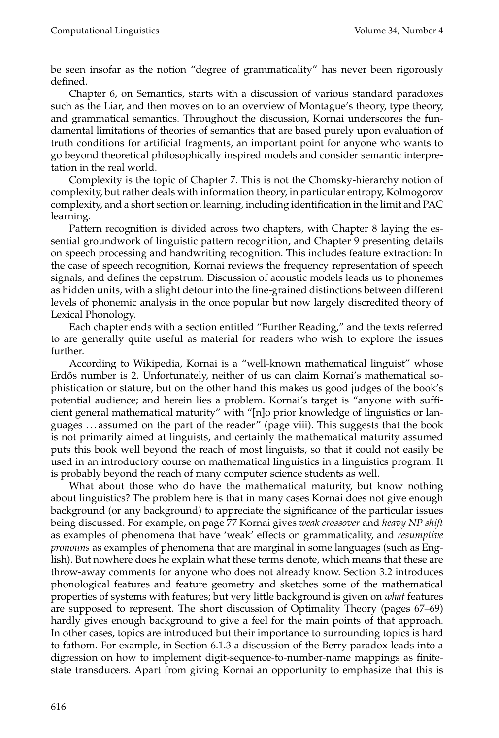be seen insofar as the notion "degree of grammaticality" has never been rigorously defined.

Chapter 6, on Semantics, starts with a discussion of various standard paradoxes such as the Liar, and then moves on to an overview of Montague's theory, type theory, and grammatical semantics. Throughout the discussion, Kornai underscores the fundamental limitations of theories of semantics that are based purely upon evaluation of truth conditions for artificial fragments, an important point for anyone who wants to go beyond theoretical philosophically inspired models and consider semantic interpretation in the real world.

Complexity is the topic of Chapter 7. This is not the Chomsky-hierarchy notion of complexity, but rather deals with information theory, in particular entropy, Kolmogorov complexity, and a short section on learning, including identification in the limit and PAC learning.

Pattern recognition is divided across two chapters, with Chapter 8 laying the essential groundwork of linguistic pattern recognition, and Chapter 9 presenting details on speech processing and handwriting recognition. This includes feature extraction: In the case of speech recognition, Kornai reviews the frequency representation of speech signals, and defines the cepstrum. Discussion of acoustic models leads us to phonemes as hidden units, with a slight detour into the fine-grained distinctions between different levels of phonemic analysis in the once popular but now largely discredited theory of Lexical Phonology.

Each chapter ends with a section entitled "Further Reading," and the texts referred to are generally quite useful as material for readers who wish to explore the issues further.

According to Wikipedia, Kornai is a "well-known mathematical linguist" whose Erdős number is 2. Unfortunately, neither of us can claim Kornai's mathematical sophistication or stature, but on the other hand this makes us good judges of the book's potential audience; and herein lies a problem. Kornai's target is "anyone with sufficient general mathematical maturity" with "[n]o prior knowledge of linguistics or languages . . . assumed on the part of the reader" (page viii). This suggests that the book is not primarily aimed at linguists, and certainly the mathematical maturity assumed puts this book well beyond the reach of most linguists, so that it could not easily be used in an introductory course on mathematical linguistics in a linguistics program. It is probably beyond the reach of many computer science students as well.

What about those who do have the mathematical maturity, but know nothing about linguistics? The problem here is that in many cases Kornai does not give enough background (or any background) to appreciate the significance of the particular issues being discussed. For example, on page 77 Kornai gives *weak crossover* and *heavy NP shift* as examples of phenomena that have 'weak' effects on grammaticality, and *resumptive pronouns* as examples of phenomena that are marginal in some languages (such as English). But nowhere does he explain what these terms denote, which means that these are throw-away comments for anyone who does not already know. Section 3.2 introduces phonological features and feature geometry and sketches some of the mathematical properties of systems with features; but very little background is given on *what* features are supposed to represent. The short discussion of Optimality Theory (pages 67–69) hardly gives enough background to give a feel for the main points of that approach. In other cases, topics are introduced but their importance to surrounding topics is hard to fathom. For example, in Section 6.1.3 a discussion of the Berry paradox leads into a digression on how to implement digit-sequence-to-number-name mappings as finitestate transducers. Apart from giving Kornai an opportunity to emphasize that this is